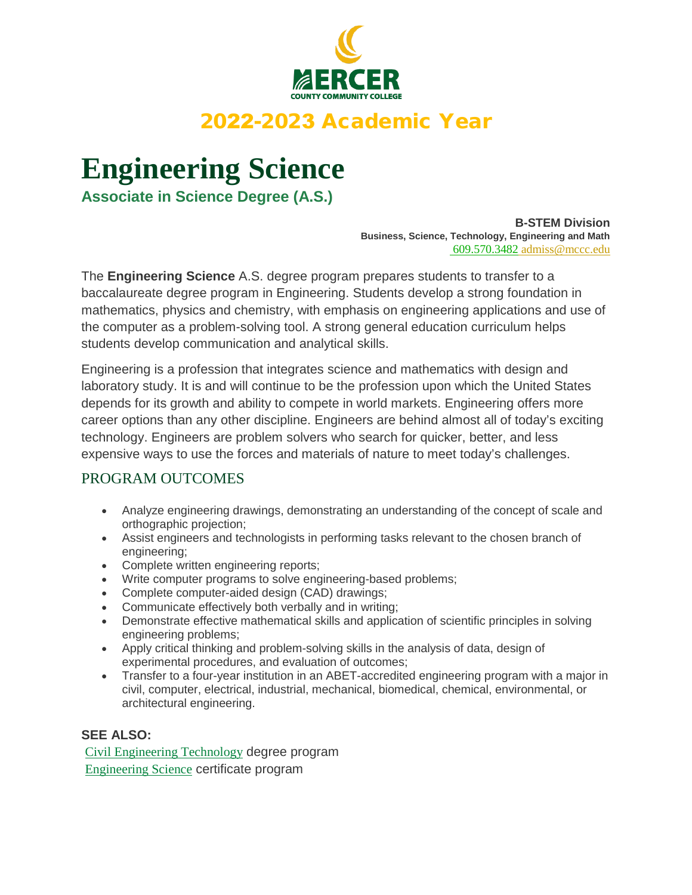

# 2022-2023 Academic Year

# **Engineering Science**

**Associate in Science Degree (A.S.)**

**B-STEM Division Business, Science, Technology, Engineering and Math** 609.570.3482 admiss@mccc.edu

The **Engineering Science** A.S. degree program prepares students to transfer to a baccalaureate degree program in Engineering. Students develop a strong foundation in mathematics, physics and chemistry, with emphasis on engineering applications and use of the computer as a problem-solving tool. A strong general education curriculum helps students develop communication and analytical skills.

Engineering is a profession that integrates science and mathematics with design and laboratory study. It is and will continue to be the profession upon which the United States depends for its growth and ability to compete in world markets. Engineering offers more career options than any other discipline. Engineers are behind almost all of today's exciting technology. Engineers are problem solvers who search for quicker, better, and less expensive ways to use the forces and materials of nature to meet today's challenges.

## PROGRAM OUTCOMES

- Analyze engineering drawings, demonstrating an understanding of the concept of scale and orthographic projection;
- Assist engineers and technologists in performing tasks relevant to the chosen branch of engineering;
- Complete written engineering reports;
- Write computer programs to solve engineering-based problems;
- Complete computer-aided design (CAD) drawings;
- Communicate effectively both verbally and in writing;
- Demonstrate effective mathematical skills and application of scientific principles in solving engineering problems;
- Apply critical thinking and problem-solving skills in the analysis of data, design of experimental procedures, and evaluation of outcomes;
- Transfer to a four-year institution in an ABET-accredited engineering program with a major in civil, computer, electrical, industrial, mechanical, biomedical, chemical, environmental, or architectural engineering.

#### **SEE ALSO:**

Civil Engineering Technology degree program Engineering Science certificate program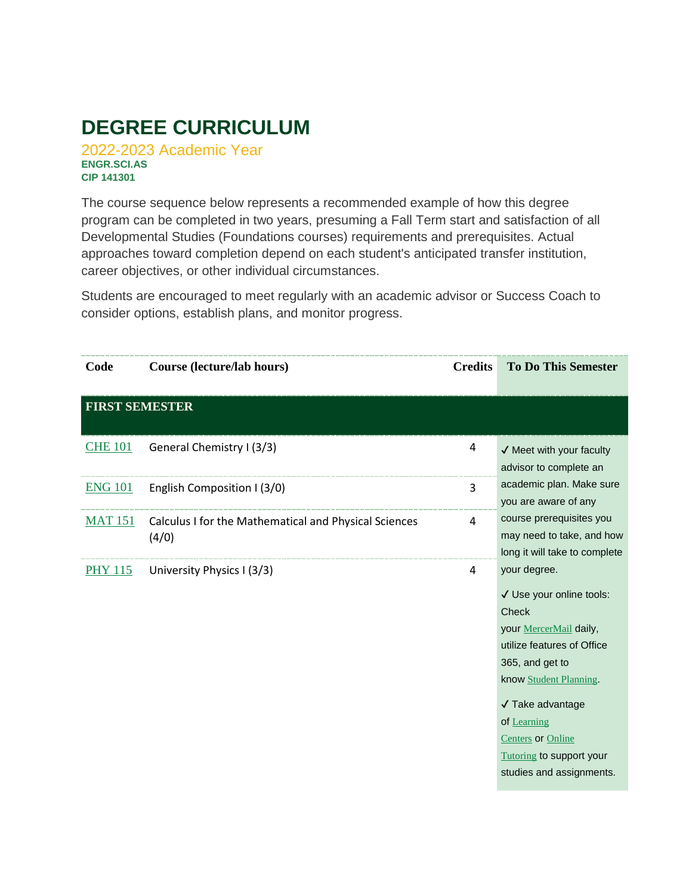# **DEGREE CURRICULUM**

2022-2023 Academic Year **ENGR.SCI.AS CIP 141301**

The course sequence below represents a recommended example of how this degree program can be completed in two years, presuming a Fall Term start and satisfaction of all Developmental Studies (Foundations courses) requirements and prerequisites. Actual approaches toward completion depend on each student's anticipated transfer institution, career objectives, or other individual circumstances.

Students are encouraged to meet regularly with an academic advisor or Success Coach to consider options, establish plans, and monitor progress.

| Code                  | Course (lecture/lab hours)                                     | <b>Credits</b> | <b>To Do This Semester</b>                                                                                                                                                                                                                                                           |
|-----------------------|----------------------------------------------------------------|----------------|--------------------------------------------------------------------------------------------------------------------------------------------------------------------------------------------------------------------------------------------------------------------------------------|
| <b>FIRST SEMESTER</b> |                                                                |                |                                                                                                                                                                                                                                                                                      |
| <b>CHE 101</b>        | General Chemistry I (3/3)                                      | 4              | √ Meet with your faculty<br>advisor to complete an                                                                                                                                                                                                                                   |
| <b>ENG 101</b>        | English Composition I (3/0)                                    | 3              | academic plan. Make sure<br>you are aware of any                                                                                                                                                                                                                                     |
| <b>MAT 151</b>        | Calculus I for the Mathematical and Physical Sciences<br>(4/0) | 4              | course prerequisites you<br>may need to take, and how<br>long it will take to complete                                                                                                                                                                                               |
| <b>PHY 115</b>        | University Physics I (3/3)                                     | 4              | your degree.<br>√ Use your online tools:<br>Check<br>your MercerMail daily,<br>utilize features of Office<br>365, and get to<br>know Student Planning.<br>√ Take advantage<br>of Learning<br><b>Centers</b> or Online<br><b>Tutoring to support your</b><br>studies and assignments. |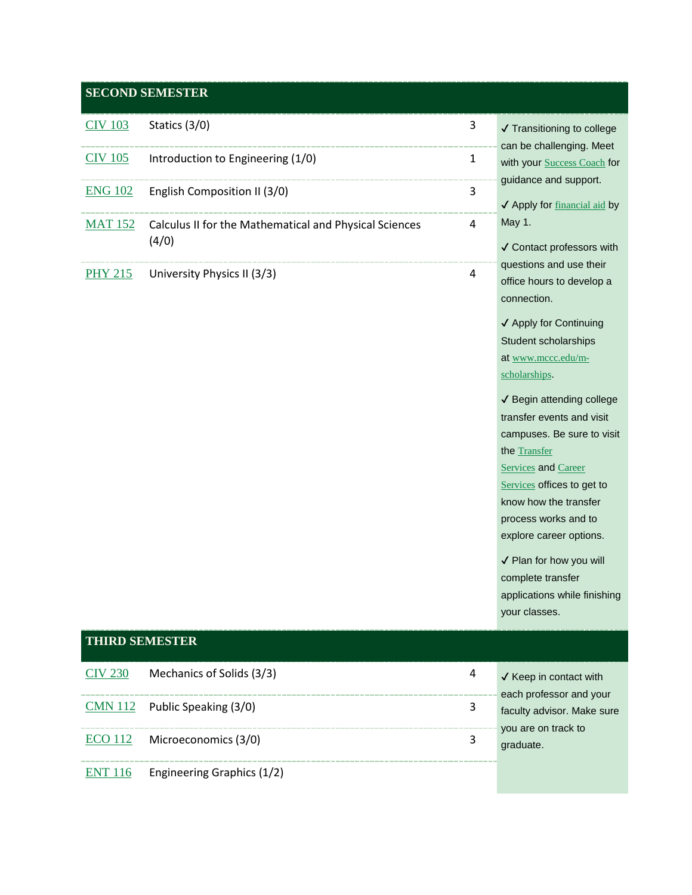### **SECOND SEMESTER**

| <b>CIV 103</b><br>Statics (3/0)<br>3<br>✔ Transitioning to college                                   |                                                         |
|------------------------------------------------------------------------------------------------------|---------------------------------------------------------|
|                                                                                                      |                                                         |
| Introduction to Engineering (1/0)<br><b>CIV 105</b><br>$\mathbf{1}$                                  | can be challenging. Meet<br>with your Success Coach for |
| guidance and support.                                                                                |                                                         |
| <b>ENG 102</b><br>English Composition II (3/0)<br>3                                                  |                                                         |
| √ Apply for financial aid by                                                                         |                                                         |
| May 1.<br><b>MAT 152</b><br>$\overline{4}$<br>Calculus II for the Mathematical and Physical Sciences |                                                         |
| (4/0)<br>√ Contact professors with                                                                   |                                                         |
| questions and use their                                                                              |                                                         |
| <b>PHY 215</b><br>University Physics II (3/3)<br>$\overline{4}$<br>office hours to develop a         |                                                         |
| connection.                                                                                          |                                                         |
|                                                                                                      |                                                         |
| ✔ Apply for Continuing                                                                               |                                                         |
| Student scholarships                                                                                 |                                                         |
| at www.mccc.edu/m-                                                                                   |                                                         |
| scholarships.                                                                                        |                                                         |
| ✔ Begin attending college                                                                            |                                                         |
| transfer events and visit                                                                            |                                                         |
| campuses. Be sure to visit                                                                           |                                                         |
| the Transfer                                                                                         |                                                         |
| <b>Services</b> and Career                                                                           |                                                         |
| Services offices to get to                                                                           |                                                         |
| know how the transfer                                                                                |                                                         |
| process works and to                                                                                 |                                                         |
| explore career options.                                                                              |                                                         |
| √ Plan for how you will                                                                              |                                                         |
| complete transfer                                                                                    |                                                         |

## **THIRD SEMESTER**

| CIV 230 | Mechanics of Solids (3/3)            | 4 | $\checkmark$ Keep in contact with                                                         |
|---------|--------------------------------------|---|-------------------------------------------------------------------------------------------|
|         | $CMN$ 112 Public Speaking (3/0)      |   | each professor and your<br>faculty advisor. Make sure<br>you are on track to<br>graduate. |
|         | $ECO$ 112 Microeconomics (3/0)       |   |                                                                                           |
|         | $ENT 116$ Engineering Graphics (1/2) |   |                                                                                           |

applications while finishing

your classes.